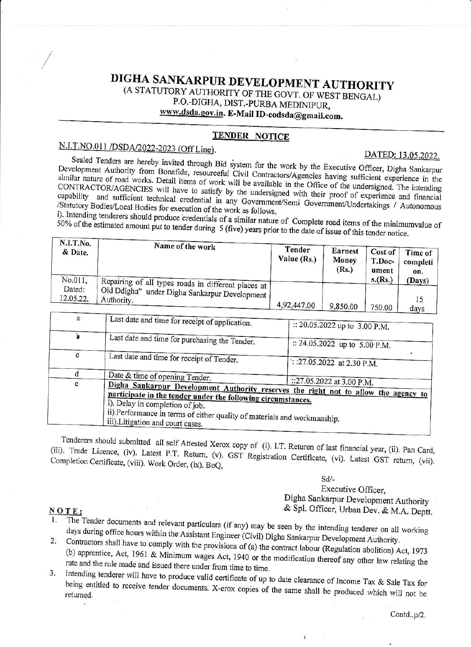# DIGHA SANKARPUR DEVELOPMENT AUTHORITY

(A STATUTORY AUTHORITY OF THE GOVT. OF WEST BENGAL) P.O.-DIGHA, DIST.-PURBA MEDINIPUR,

www.dsda.gov.in. E-Mail ID-eodsda@gmail.com.

### **TENDER NOTICE**

### N.I.T.NO.011 /DSDA/2022-2023 (Off Line).

#### DATED: 13.05.2022.

Sealed Tenders are hereby invited through Bid system for the work by the Executive Officer, Digha Sankarpur Development Authority from Bonafide, resourceful Civil Contractors/Agencies having sufficient experience in the similar nature of road works. Detail items of work will be available in the Office of the undersigned. The intending CONTRACTOR/AGENCIES will have to satisfy by the undersigned with their proof of experience and financial capability and sufficient technical credential in any Government/Semi Government/Undertakings / Autonomous /Statutory Bodies/Local Bodies for execution of the work as follows.

i). Intending tenderers should produce credentials of a similar nature of Complete road items of the minimumvalue of 50% of the estimated amount put to tender during 5 (five) years prior to the date of issue of this tender notice.

| N.I.T.No.<br>& Date. | Name of the work                                            | Tender<br>Value (Rs.) | Earnest<br>Money<br>(Rs.) | Cost of<br>T.Doc-<br>ument | Time of<br>completi<br>on. |
|----------------------|-------------------------------------------------------------|-----------------------|---------------------------|----------------------------|----------------------------|
| No.011,              | Repairing of all types roads in different places at I       |                       |                           | s.(Rs.)                    | (Days)                     |
| Dated:<br>12.05.22.  | Old Ddigha" under Digha Sankarpur Development<br>Authority. | 4,92,447.00           | 9,850.00                  | 750.00                     | dave                       |

| a |                                                                                                                                                                                                                                                                                                         |                                       |  |  |
|---|---------------------------------------------------------------------------------------------------------------------------------------------------------------------------------------------------------------------------------------------------------------------------------------------------------|---------------------------------------|--|--|
|   | Last date and time for receipt of application.                                                                                                                                                                                                                                                          | :: 20.05.2022 up to 3.00 P.M.         |  |  |
|   | Last date and time for purchasing the Tender.                                                                                                                                                                                                                                                           | :: 24.05.2022 up to 5.00 P.M.         |  |  |
| c | Last date and time for receipt of Tender.                                                                                                                                                                                                                                                               | $\therefore$ :27.05.2022 at 2.30 P.M. |  |  |
|   | Date & time of opening Tender.                                                                                                                                                                                                                                                                          |                                       |  |  |
| e | Digha Sankarpur Development Authority reserves the right not to allow the agency to<br>participate in the tender under the following circumstances.<br>i). Delay in completion of job.<br>ii).Performance in terms of either quality of materials and workmanship.<br>iii). Litigation and court cases. | ::27.05.2022 at 3.00 P.M.             |  |  |

Tenderers should submitted all self Attested Xerox copy of (i). I.T. Returen of last financial year, (ii). Pan Card, (iii). Trade Licence, (iv). Latest P.T. Return, (v). GST Registration Certificate, (vi). Latest GST return, (vii). Completion Certificate, (viii). Work Order, (ix). BoQ,

> $Sd/-$ Executive Officer, Digha Sankarpur Development Authority & Spl. Officer, Urban Dev. & M.A. Deptt.

#### NOTE:

- The Tender documents and relevant particulars (if any) may be seen by the intending tenderer on all working days during office hours within the Assistant Engineer (Civil) Digha Sankarpur Development Authority.
- Contractors shall have to comply with the provisions of (a) the contract labour (Regulation abolition) Act, 1973 2. (b) apprentice, Act, 1961 & Minimum wages Act, 1940 or the modification thereof any other law relating the rate and the rule made and issued there under from time to time.
- Intending tenderer will have to produce valid certificate of up to date clearance of Income Tax & Sale Tax for  $3.$ being entitled to receive tender documents. X-erox copies of the same shall be produced which will not be

ĝ.